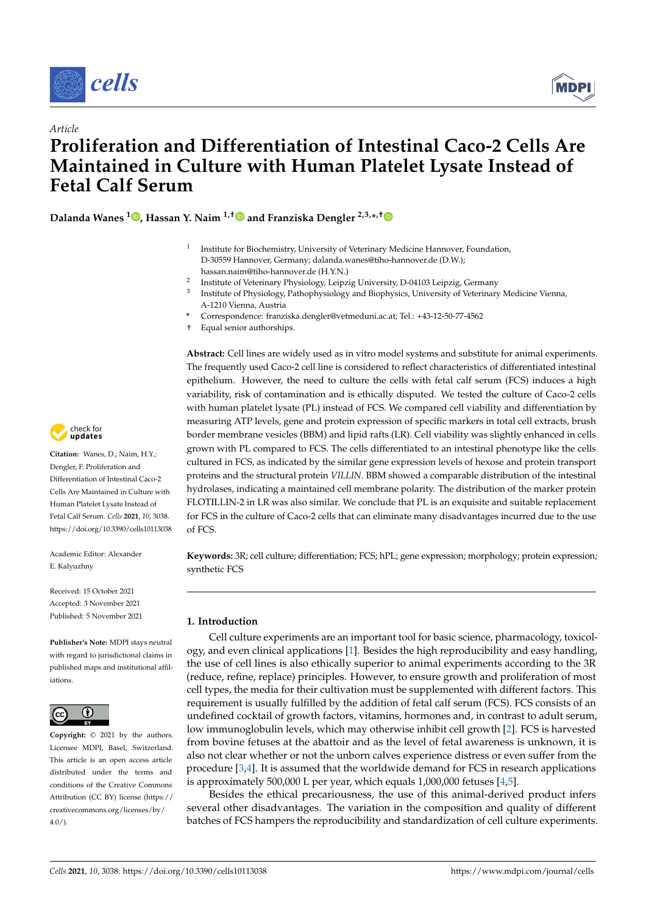



# *Article* **Proliferation and Differentiation of Intestinal Caco-2 Cells Are Maintained in Culture with Human Platelet Lysate Instead of Fetal Calf Serum**

**Dalanda Wanes <sup>1</sup> , Hassan Y. Naim 1,† and Franziska Dengler 2,3,\*,†**

- $1$  Institute for Biochemistry, University of Veterinary Medicine Hannover, Foundation, D-30559 Hannover, Germany; dalanda.wanes@tiho-hannover.de (D.W.); hassan.naim@tiho-hannover.de (H.Y.N.)
- <sup>2</sup> Institute of Veterinary Physiology, Leipzig University, D-04103 Leipzig, Germany
- <sup>3</sup> Institute of Physiology, Pathophysiology and Biophysics, University of Veterinary Medicine Vienna, A-1210 Vienna, Austria
- **\*** Correspondence: franziska.dengler@vetmeduni.ac.at; Tel.: +43-12-50-77-4562
- † Equal senior authorships.

**Abstract:** Cell lines are widely used as in vitro model systems and substitute for animal experiments. The frequently used Caco-2 cell line is considered to reflect characteristics of differentiated intestinal epithelium. However, the need to culture the cells with fetal calf serum (FCS) induces a high variability, risk of contamination and is ethically disputed. We tested the culture of Caco-2 cells with human platelet lysate (PL) instead of FCS. We compared cell viability and differentiation by measuring ATP levels, gene and protein expression of specific markers in total cell extracts, brush border membrane vesicles (BBM) and lipid rafts (LR). Cell viability was slightly enhanced in cells grown with PL compared to FCS. The cells differentiated to an intestinal phenotype like the cells cultured in FCS, as indicated by the similar gene expression levels of hexose and protein transport proteins and the structural protein *VILLIN*. BBM showed a comparable distribution of the intestinal hydrolases, indicating a maintained cell membrane polarity. The distribution of the marker protein FLOTILLIN-2 in LR was also similar. We conclude that PL is an exquisite and suitable replacement for FCS in the culture of Caco-2 cells that can eliminate many disadvantages incurred due to the use of FCS.

**Keywords:** 3R; cell culture; differentiation; FCS; hPL; gene expression; morphology; protein expression; synthetic FCS

# **1. Introduction**

Cell culture experiments are an important tool for basic science, pharmacology, toxicology, and even clinical applications [1]. Besides the high reproducibility and easy handling, the use of cell lines is also ethically superior to animal experiments according to the 3R (reduce, refine, replace) principles. However, to ensure growth and proliferation of most cell types, the media for their cultivation must be supplemented with different factors. This requirement is usually fulfilled by the addition of fetal calf serum (FCS). FCS consists of an undefined cocktail of growth factors, vitamins, hormones and, in contrast to adult serum, low immunoglobulin levels, which may otherwise inhibit cell growth [2]. FCS is harvested from bovine fetuses at the abattoir and as the level of fetal awareness is unknown, it is also not clear whether or not the unborn calves experience distress or even suffer from the procedure  $[3,4]$ . It is assumed that the worldwide demand for FCS in research applications is approximately 500,000 L per year, which equals 1,000,000 fetuses [4,5].

Besides the ethical precariousness, the use of this animal-derived product infers several other disadvantages. The variation in the composition and quality of different batches of FCS hampers the reproducibility and standardization of cell culture experiments.



**Citation:** Wanes, D.; Naim, H.Y.; Dengler, F. Proliferation and Differentiation of Intestinal Caco-2 Cells Are Maintained in Culture with Human Platelet Lysate Instead of Fetal Calf Serum. *Cells* **2021**, *10*, 3038. https://doi.org/10.3390/cells10113038

Academic Editor: Alexander E. Kalyuzhny

Received: 15 October 2021 Accepted: 3 November 2021 Published: 5 November 2021

**Publisher's Note:** MDPI stays neutral with regard to jurisdictional claims in published maps and institutional affiliations.



**Copyright:** © 2021 by the authors. Licensee MDPI, Basel, Switzerland. This article is an open access article distributed under the terms and conditions of the Creative Commons Attribution (CC BY) license (https:// creativecommons.org/licenses/by/  $4.0/$ ).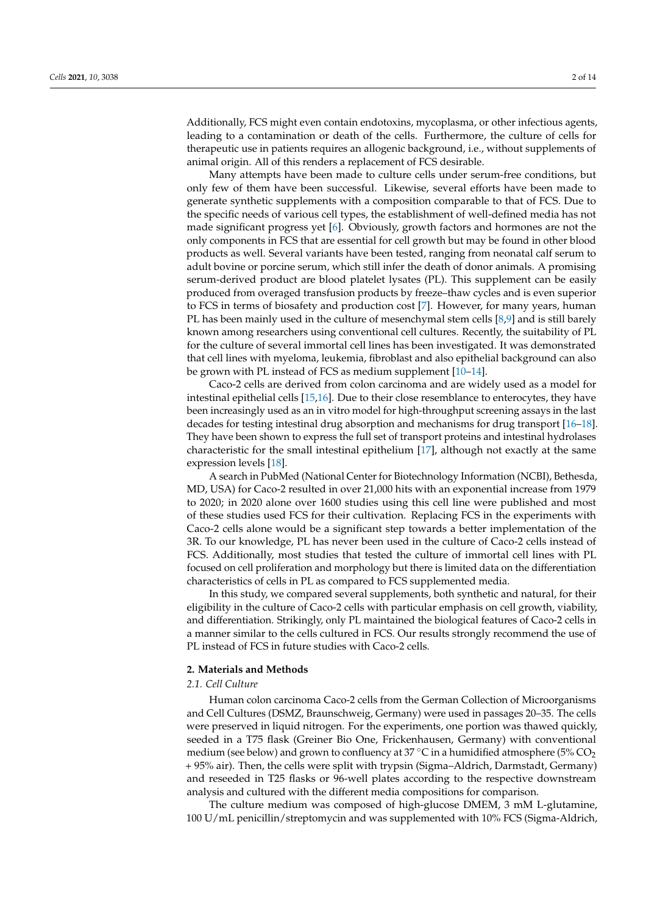Additionally, FCS might even contain endotoxins, mycoplasma, or other infectious agents, leading to a contamination or death of the cells. Furthermore, the culture of cells for therapeutic use in patients requires an allogenic background, i.e., without supplements of animal origin. All of this renders a replacement of FCS desirable.

Many attempts have been made to culture cells under serum-free conditions, but only few of them have been successful. Likewise, several efforts have been made to generate synthetic supplements with a composition comparable to that of FCS. Due to the specific needs of various cell types, the establishment of well-defined media has not made significant progress yet [6]. Obviously, growth factors and hormones are not the only components in FCS that are essential for cell growth but may be found in other blood products as well. Several variants have been tested, ranging from neonatal calf serum to adult bovine or porcine serum, which still infer the death of donor animals. A promising serum-derived product are blood platelet lysates (PL). This supplement can be easily produced from overaged transfusion products by freeze–thaw cycles and is even superior to FCS in terms of biosafety and production cost [7]. However, for many years, human PL has been mainly used in the culture of mesenchymal stem cells [8,9] and is still barely known among researchers using conventional cell cultures. Recently, the suitability of PL for the culture of several immortal cell lines has been investigated. It was demonstrated that cell lines with myeloma, leukemia, fibroblast and also epithelial background can also be grown with PL instead of FCS as medium supplement [10–14].

Caco-2 cells are derived from colon carcinoma and are widely used as a model for intestinal epithelial cells [15,16]. Due to their close resemblance to enterocytes, they have been increasingly used as an in vitro model for high-throughput screening assays in the last decades for testing intestinal drug absorption and mechanisms for drug transport [16–18]. They have been shown to express the full set of transport proteins and intestinal hydrolases characteristic for the small intestinal epithelium [17], although not exactly at the same expression levels [18].

A search in PubMed (National Center for Biotechnology Information (NCBI), Bethesda, MD, USA) for Caco-2 resulted in over 21,000 hits with an exponential increase from 1979 to 2020; in 2020 alone over 1600 studies using this cell line were published and most of these studies used FCS for their cultivation. Replacing FCS in the experiments with Caco-2 cells alone would be a significant step towards a better implementation of the 3R. To our knowledge, PL has never been used in the culture of Caco-2 cells instead of FCS. Additionally, most studies that tested the culture of immortal cell lines with PL focused on cell proliferation and morphology but there is limited data on the differentiation characteristics of cells in PL as compared to FCS supplemented media.

In this study, we compared several supplements, both synthetic and natural, for their eligibility in the culture of Caco-2 cells with particular emphasis on cell growth, viability, and differentiation. Strikingly, only PL maintained the biological features of Caco-2 cells in a manner similar to the cells cultured in FCS. Our results strongly recommend the use of PL instead of FCS in future studies with Caco-2 cells.

# **2. Materials and Methods**

# *2.1. Cell Culture*

Human colon carcinoma Caco-2 cells from the German Collection of Microorganisms and Cell Cultures (DSMZ, Braunschweig, Germany) were used in passages 20–35. The cells were preserved in liquid nitrogen. For the experiments, one portion was thawed quickly, seeded in a T75 flask (Greiner Bio One, Frickenhausen, Germany) with conventional medium (see below) and grown to confluency at 37 °C in a humidified atmosphere (5%  $CO<sub>2</sub>$ + 95% air). Then, the cells were split with trypsin (Sigma–Aldrich, Darmstadt, Germany) and reseeded in T25 flasks or 96-well plates according to the respective downstream analysis and cultured with the different media compositions for comparison.

The culture medium was composed of high-glucose DMEM, 3 mM L-glutamine, 100 U/mL penicillin/streptomycin and was supplemented with 10% FCS (Sigma-Aldrich,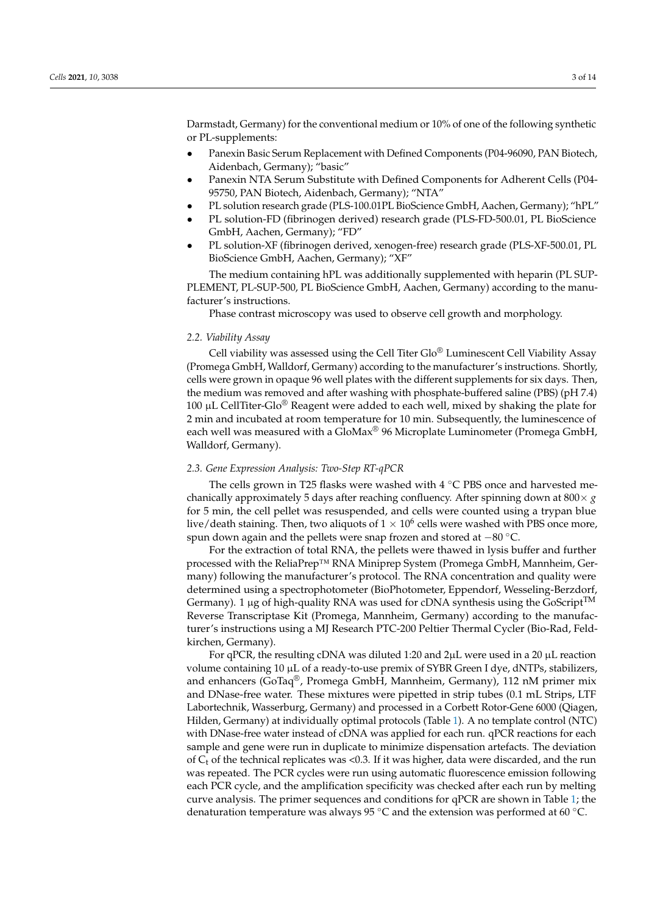Darmstadt, Germany) for the conventional medium or 10% of one of the following synthetic or PL-supplements:

- *•* Panexin Basic Serum Replacement with Defined Components (P04-96090, PAN Biotech, Aidenbach, Germany); "basic"
- *•* Panexin NTA Serum Substitute with Defined Components for Adherent Cells (P04- 95750, PAN Biotech, Aidenbach, Germany); "NTA"
- *•* PL solution research grade (PLS-100.01PL BioScience GmbH, Aachen, Germany); "hPL"
- *•* PL solution-FD (fibrinogen derived) research grade (PLS-FD-500.01, PL BioScience GmbH, Aachen, Germany); "FD"
- *•* PL solution-XF (fibrinogen derived, xenogen-free) research grade (PLS-XF-500.01, PL BioScience GmbH, Aachen, Germany); "XF"

The medium containing hPL was additionally supplemented with heparin (PL SUP-PLEMENT, PL-SUP-500, PL BioScience GmbH, Aachen, Germany) according to the manufacturer's instructions.

Phase contrast microscopy was used to observe cell growth and morphology.

### *2.2. Viability Assay*

Cell viability was assessed using the Cell Titer Glo® Luminescent Cell Viability Assay (Promega GmbH, Walldorf, Germany) according to the manufacturer's instructions. Shortly, cells were grown in opaque 96 well plates with the different supplements for six days. Then, the medium was removed and after washing with phosphate-buffered saline (PBS) (pH 7.4) 100  $\mu$ L CellTiter-Glo® Reagent were added to each well, mixed by shaking the plate for 2 min and incubated at room temperature for 10 min. Subsequently, the luminescence of each well was measured with a  $Glowax^{\otimes}$  96 Microplate Luminometer (Promega GmbH, Walldorf, Germany).

# *2.3. Gene Expression Analysis: Two-Step RT-qPCR*

The cells grown in T25 flasks were washed with  $4^{\circ}$ C PBS once and harvested mechanically approximately 5 days after reaching confluency. After spinning down at  $800 \times g$ for 5 min, the cell pellet was resuspended, and cells were counted using a trypan blue live/death staining. Then, two aliquots of  $1 \times 10^6$  cells were washed with PBS once more, spun down again and the pellets were snap frozen and stored at  $-80^{\circ}$ C.

For the extraction of total RNA, the pellets were thawed in lysis buffer and further processed with the ReliaPrep™ RNA Miniprep System (Promega GmbH, Mannheim, Germany) following the manufacturer's protocol. The RNA concentration and quality were determined using a spectrophotometer (BioPhotometer, Eppendorf, Wesseling-Berzdorf, Germany). 1 µg of high-quality RNA was used for cDNA synthesis using the  $\bar{\text{CoScript}}^{\text{TM}}$ Reverse Transcriptase Kit (Promega, Mannheim, Germany) according to the manufacturer's instructions using a MJ Research PTC-200 Peltier Thermal Cycler (Bio-Rad, Feldkirchen, Germany).

For qPCR, the resulting cDNA was diluted 1:20 and  $2\mu$ L were used in a 20  $\mu$ L reaction volume containing 10 µL of a ready-to-use premix of SYBR Green I dye, dNTPs, stabilizers, and enhancers (GoTaq®, Promega GmbH, Mannheim, Germany), 112 nM primer mix and DNase-free water. These mixtures were pipetted in strip tubes (0.1 mL Strips, LTF Labortechnik, Wasserburg, Germany) and processed in a Corbett Rotor-Gene 6000 (Qiagen, Hilden, Germany) at individually optimal protocols (Table 1). A no template control (NTC) with DNase-free water instead of cDNA was applied for each run. qPCR reactions for each sample and gene were run in duplicate to minimize dispensation artefacts. The deviation of  $C_t$  of the technical replicates was <0.3. If it was higher, data were discarded, and the run was repeated. The PCR cycles were run using automatic fluorescence emission following each PCR cycle, and the amplification specificity was checked after each run by melting curve analysis. The primer sequences and conditions for qPCR are shown in Table 1; the denaturation temperature was always 95 °C and the extension was performed at 60 °C.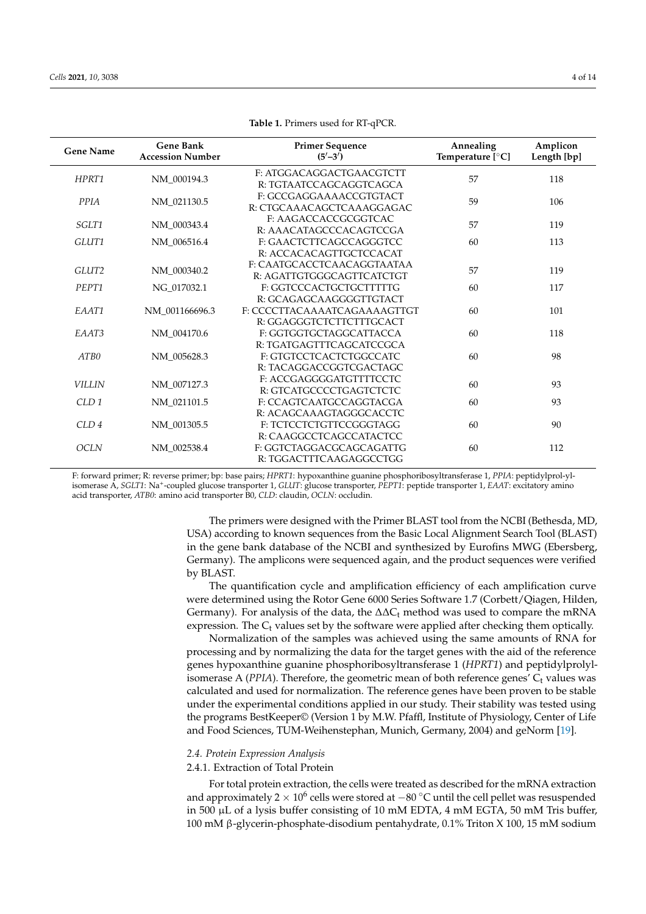| <b>Gene Name</b> | <b>Gene Bank</b><br><b>Accession Number</b> | <b>Primer Sequence</b><br>(5'–3')                        | Annealing<br>Temperature [°C] | Amplicon<br>Length [bp] |  |
|------------------|---------------------------------------------|----------------------------------------------------------|-------------------------------|-------------------------|--|
| HPRT1            | NM_000194.3                                 | F: ATGGACAGGACTGAACGTCTT<br>R: TGTAATCCAGCAGGTCAGCA      | 57                            | 118                     |  |
| PPIA             | NM_021130.5                                 | F: GCCGAGGAAAACCGTGTACT<br>R: CTGCAAACAGCTCAAAGGAGAC     | 59                            | 106                     |  |
| SGLT1            | NM 000343.4                                 | F: AAGACCACCGCGGTCAC<br>R: AAACATAGCCCACAGTCCGA          | 57                            | 119                     |  |
| GLUT1            | NM_006516.4                                 | F: GAACTCTTCAGCCAGGGTCC<br>R: ACCACACAGTTGCTCCACAT       | 60                            | 113                     |  |
| GLUT2            | NM_000340.2                                 | F: CAATGCACCTCAACAGGTAATAA<br>R: AGATTGTGGGCAGTTCATCTGT  | 57                            | 119                     |  |
| PEPT1            | NG_017032.1                                 | F: GGTCCCACTGCTGCTTTTTG<br>R: GCAGAGCAAGGGGTTGTACT       | 60                            | 117                     |  |
| EAAT1            | NM 001166696.3                              | F: CCCCTTACAAAATCAGAAAAGTTGT<br>R: GGAGGGTCTCTTCTTTGCACT | 60                            | 101                     |  |
| EAAT3            | NM_004170.6                                 | F: GGTGGTGCTAGGCATTACCA<br>R: TGATGAGTTTCAGCATCCGCA      | 60                            | 118                     |  |
| ATB0             | NM_005628.3                                 | F: GTGTCCTCACTCTGGCCATC<br>R: TACAGGACCGGTCGACTAGC       | 60                            | 98                      |  |
| <b>VILLIN</b>    | NM_007127.3                                 | F: ACCGAGGGGATGTTTTCCTC<br>R: GTCATGCCCCTGAGTCTCTC       | 60                            | 93                      |  |
| CLD <sub>1</sub> | NM_021101.5                                 | F: CCAGTCAATGCCAGGTACGA<br>R: ACAGCAAAGTAGGGCACCTC       | 60                            | 93                      |  |
| CLD <sub>4</sub> | NM 001305.5                                 | F: TCTCCTCTGTTCCGGGTAGG<br>R: CAAGGCCTCAGCCATACTCC       | 60                            | 90                      |  |
| <b>OCLN</b>      | NM_002538.4                                 | F: GGTCTAGGACGCAGCAGATTG<br>R: TGGACTTTCAAGAGGCCTGG      | 60                            | 112                     |  |

| Table 1. Primers used for RT-qPCR. |  |  |
|------------------------------------|--|--|
|------------------------------------|--|--|

F: forward primer; R: reverse primer; bp: base pairs; *HPRT1*: hypoxanthine guanine phosphoribosyltransferase 1, *PPIA*: peptidylprol-ylisomerase A, *SGLT1*: Na+-coupled glucose transporter 1, *GLUT*: glucose transporter, *PEPT1*: peptide transporter 1, *EAAT*: excitatory amino acid transporter, *ATB0*: amino acid transporter B0, *CLD*: claudin, *OCLN*: occludin.

> The primers were designed with the Primer BLAST tool from the NCBI (Bethesda, MD, USA) according to known sequences from the Basic Local Alignment Search Tool (BLAST) in the gene bank database of the NCBI and synthesized by Eurofins MWG (Ebersberg, Germany). The amplicons were sequenced again, and the product sequences were verified by BLAST.

> The quantification cycle and amplification efficiency of each amplification curve were determined using the Rotor Gene 6000 Series Software 1.7 (Corbett/Qiagen, Hilden, Germany). For analysis of the data, the  $\Delta\Delta C_t$  method was used to compare the mRNA expression. The  $C_t$  values set by the software were applied after checking them optically.

> Normalization of the samples was achieved using the same amounts of RNA for processing and by normalizing the data for the target genes with the aid of the reference genes hypoxanthine guanine phosphoribosyltransferase 1 (*HPRT1*) and peptidylprolylisomerase A ( $PPIA$ ). Therefore, the geometric mean of both reference genes'  $C_t$  values was calculated and used for normalization. The reference genes have been proven to be stable under the experimental conditions applied in our study. Their stability was tested using the programs BestKeeper© (Version 1 by M.W. Pfaffl, Institute of Physiology, Center of Life and Food Sciences, TUM-Weihenstephan, Munich, Germany, 2004) and geNorm [19].

## *2.4. Protein Expression Analysis*

# 2.4.1. Extraction of Total Protein

For total protein extraction, the cells were treated as described for the mRNA extraction and approximately  $2 \times 10^6$  cells were stored at  $-80^{\circ}$ C until the cell pellet was resuspended in 500 µL of a lysis buffer consisting of 10 mM EDTA, 4 mM EGTA, 50 mM Tris buffer, 100 mM  $\beta$ -glycerin-phosphate-disodium pentahydrate, 0.1% Triton X 100, 15 mM sodium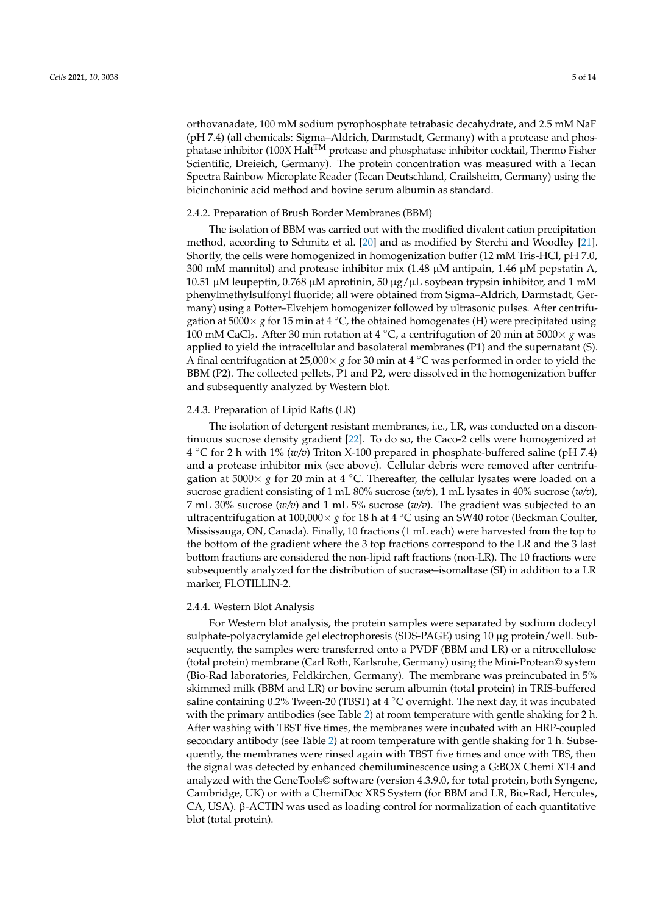orthovanadate, 100 mM sodium pyrophosphate tetrabasic decahydrate, and 2.5 mM NaF (pH 7.4) (all chemicals: Sigma–Aldrich, Darmstadt, Germany) with a protease and phosphatase inhibitor (100X Halt<sup>TM</sup> protease and phosphatase inhibitor cocktail, Thermo Fisher Scientific, Dreieich, Germany). The protein concentration was measured with a Tecan Spectra Rainbow Microplate Reader (Tecan Deutschland, Crailsheim, Germany) using the bicinchoninic acid method and bovine serum albumin as standard.

## 2.4.2. Preparation of Brush Border Membranes (BBM)

The isolation of BBM was carried out with the modified divalent cation precipitation method, according to Schmitz et al. [20] and as modified by Sterchi and Woodley [21]. Shortly, the cells were homogenized in homogenization buffer (12 mM Tris-HCl, pH 7.0, 300 mM mannitol) and protease inhibitor mix (1.48  $\mu$ M antipain, 1.46  $\mu$ M pepstatin A, 10.51 μM leupeptin, 0.768 μM aprotinin, 50 μg/μL soybean trypsin inhibitor, and 1 mM phenylmethylsulfonyl fluoride; all were obtained from Sigma–Aldrich, Darmstadt, Germany) using a Potter–Elvehjem homogenizer followed by ultrasonic pulses. After centrifugation at  $5000 \times g$  for 15 min at 4 °C, the obtained homogenates (H) were precipitated using 100 mM CaCl<sub>2</sub>. After 30 min rotation at 4  $^{\circ}$ C, a centrifugation of 20 min at 5000  $\times$  *g* was applied to yield the intracellular and basolateral membranes (P1) and the supernatant (S). A final centrifugation at 25,000  $\times$  *g* for 30 min at 4 °C was performed in order to yield the BBM (P2). The collected pellets, P1 and P2, were dissolved in the homogenization buffer and subsequently analyzed by Western blot.

## 2.4.3. Preparation of Lipid Rafts (LR)

The isolation of detergent resistant membranes, i.e., LR, was conducted on a discontinuous sucrose density gradient [22]. To do so, the Caco-2 cells were homogenized at 4 C for 2 h with 1% (*w/v*) Triton X-100 prepared in phosphate-buffered saline (pH 7.4) and a protease inhibitor mix (see above). Cellular debris were removed after centrifugation at  $5000 \times g$  for 20 min at 4 °C. Thereafter, the cellular lysates were loaded on a sucrose gradient consisting of 1 mL 80% sucrose (*w/v*), 1 mL lysates in 40% sucrose (*w/v*), 7 mL 30% sucrose  $(w/v)$  and 1 mL 5% sucrose  $(w/v)$ . The gradient was subjected to an ultracentrifugation at  $100,000 \times g$  for 18 h at  $4^{\circ}$ C using an SW40 rotor (Beckman Coulter, Mississauga, ON, Canada). Finally, 10 fractions (1 mL each) were harvested from the top to the bottom of the gradient where the 3 top fractions correspond to the LR and the 3 last bottom fractions are considered the non-lipid raft fractions (non-LR). The 10 fractions were subsequently analyzed for the distribution of sucrase–isomaltase (SI) in addition to a LR marker, FLOTILLIN-2.

#### 2.4.4. Western Blot Analysis

For Western blot analysis, the protein samples were separated by sodium dodecyl sulphate-polyacrylamide gel electrophoresis (SDS-PAGE) using 10 µg protein/well. Subsequently, the samples were transferred onto a PVDF (BBM and LR) or a nitrocellulose (total protein) membrane (Carl Roth, Karlsruhe, Germany) using the Mini-Protean© system (Bio-Rad laboratories, Feldkirchen, Germany). The membrane was preincubated in 5% skimmed milk (BBM and LR) or bovine serum albumin (total protein) in TRIS-buffered saline containing 0.2% Tween-20 (TBST) at 4  $\degree$ C overnight. The next day, it was incubated with the primary antibodies (see Table 2) at room temperature with gentle shaking for 2 h. After washing with TBST five times, the membranes were incubated with an HRP-coupled secondary antibody (see Table 2) at room temperature with gentle shaking for 1 h. Subsequently, the membranes were rinsed again with TBST five times and once with TBS, then the signal was detected by enhanced chemiluminescence using a G:BOX Chemi XT4 and analyzed with the GeneTools© software (version 4.3.9.0, for total protein, both Syngene, Cambridge, UK) or with a ChemiDoc XRS System (for BBM and LR, Bio-Rad, Hercules,  $CA$ , USA).  $\beta$ -ACTIN was used as loading control for normalization of each quantitative blot (total protein).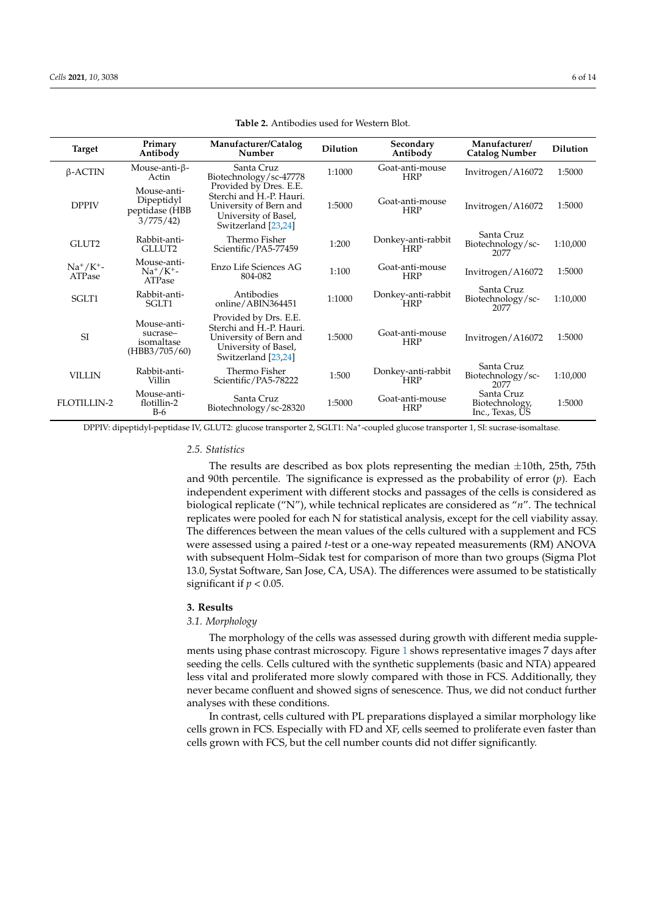| <b>Target</b>              | Primary<br>Antibody                                     | Manufacturer/Catalog<br>Number                                                                                              | <b>Dilution</b> | Secondary<br>Antibody            | Manufacturer/<br><b>Catalog Number</b>          | <b>Dilution</b> |
|----------------------------|---------------------------------------------------------|-----------------------------------------------------------------------------------------------------------------------------|-----------------|----------------------------------|-------------------------------------------------|-----------------|
| $\beta$ -ACTIN             | Mouse-anti-ß-<br>Actin                                  | Santa Cruz<br>Biotechnology/sc-47778                                                                                        | 1:1000          | Goat-anti-mouse<br><b>HRP</b>    | Invitrogen/A16072                               | 1:5000          |
| <b>DPPIV</b>               | Mouse-anti-<br>Dipeptidyl<br>peptidase (HBB<br>3/775/42 | Provided by Dres. E.E.<br>Sterchi and H.-P. Hauri.<br>University of Bern and<br>University of Basel,<br>Switzerland [23,24] | 1:5000          | Goat-anti-mouse<br><b>HRP</b>    | Invitrogen/A16072                               | 1:5000          |
| GLUT2                      | Rabbit-anti-<br>GLLUT2                                  | Thermo Fisher<br>Scientific/PA5-77459                                                                                       | 1:200           | Donkey-anti-rabbit<br><b>HRP</b> | Santa Cruz<br>Biotechnology/sc-<br>2077         | 1:10,000        |
| $Na^{+}/K^{+}$ -<br>ATPase | Mouse-anti-<br>$Na^{+}/K^{+}$ -<br>ATPase               | Enzo Life Sciences AG<br>804-082                                                                                            | 1:100           | Goat-anti-mouse<br><b>HRP</b>    | Invitrogen/A16072                               | 1:5000          |
| SGLT1                      | Rabbit-anti-<br>SGLT1                                   | Antibodies<br>online/ABIN364451                                                                                             | 1:1000          | Donkey-anti-rabbit<br><b>HRP</b> | Santa Cruz<br>Biotechnology/sc-<br>2077         | 1:10,000        |
| <sub>SI</sub>              | Mouse-anti-<br>sucrase-<br>isomaltase<br>(HBB3/705/60)  | Provided by Drs. E.E.<br>Sterchi and H.-P. Hauri.<br>University of Bern and<br>University of Basel,<br>Switzerland [23,24]  | 1:5000          | Goat-anti-mouse<br><b>HRP</b>    | Invitrogen/A16072                               | 1:5000          |
| <b>VILLIN</b>              | Rabbit-anti-<br>Villin                                  | Thermo Fisher<br>Scientific/PA5-78222                                                                                       | 1:500           | Donkey-anti-rabbit<br><b>HRP</b> | Santa Cruz<br>Biotechnology/sc-<br>2077         | 1:10,000        |
| <b>FLOTILLIN-2</b>         | Mouse-anti-<br>flotillin-2<br>$B-6$                     | Santa Cruz<br>Biotechnology/sc-28320                                                                                        | 1:5000          | Goat-anti-mouse<br><b>HRP</b>    | Santa Cruz<br>Biotechnology,<br>Inc., Texas, US | 1:5000          |

**Table 2.** Antibodies used for Western Blot.

DPPIV: dipeptidyl-peptidase IV, GLUT2: glucose transporter 2, SGLT1: Na+-coupled glucose transporter 1, SI: sucrase-isomaltase.

#### *2.5. Statistics*

The results are described as box plots representing the median *±*10th, 25th, 75th and 90th percentile. The significance is expressed as the probability of error (*p*). Each independent experiment with different stocks and passages of the cells is considered as biological replicate ("N"), while technical replicates are considered as "*n*". The technical replicates were pooled for each N for statistical analysis, except for the cell viability assay. The differences between the mean values of the cells cultured with a supplement and FCS were assessed using a paired *t*-test or a one-way repeated measurements (RM) ANOVA with subsequent Holm–Sidak test for comparison of more than two groups (Sigma Plot 13.0, Systat Software, San Jose, CA, USA). The differences were assumed to be statistically significant if  $p < 0.05$ .

# **3. Results**

# *3.1. Morphology*

The morphology of the cells was assessed during growth with different media supplements using phase contrast microscopy. Figure 1 shows representative images 7 days after seeding the cells. Cells cultured with the synthetic supplements (basic and NTA) appeared less vital and proliferated more slowly compared with those in FCS. Additionally, they never became confluent and showed signs of senescence. Thus, we did not conduct further analyses with these conditions.

In contrast, cells cultured with PL preparations displayed a similar morphology like cells grown in FCS. Especially with FD and XF, cells seemed to proliferate even faster than cells grown with FCS, but the cell number counts did not differ significantly.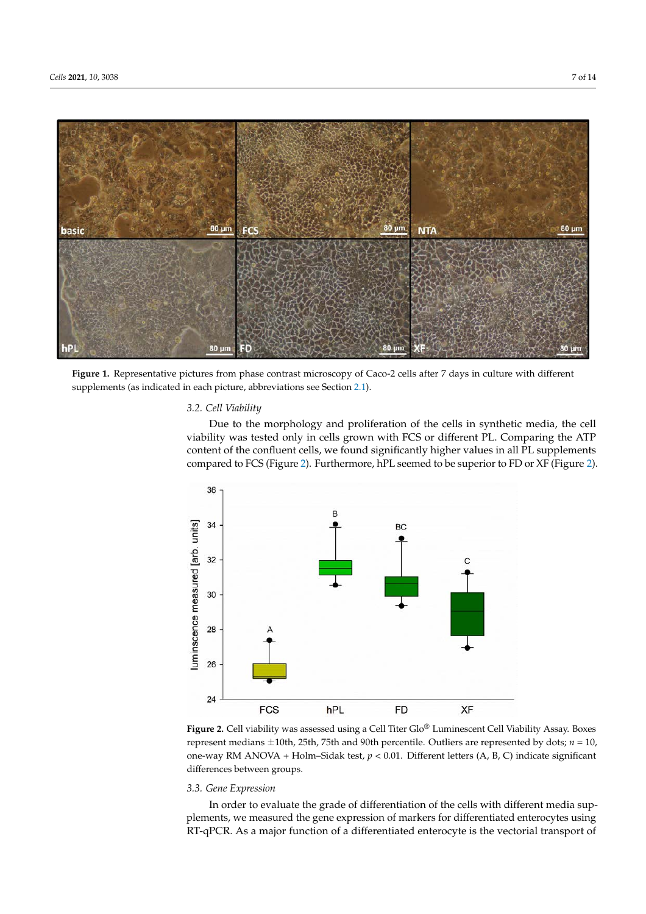

**Figure 1.** Representative pictures from phase contrast microscopy of Caco-2 cells after 7 days in culture with different supplements (as indicated in each picture, abbreviations see Section 2.1).

## *3.2. Cell Viability*

Due to the morphology and proliferation of the cells in synthetic media, the cell viability was tested only in cells grown with FCS or different PL. Comparing the ATP content of the confluent cells, we found significantly higher values in all PL supplements compared to FCS (Figure 2). Furthermore, hPL seemed to be superior to FD or XF (Figure 2).



Figure 2. Cell viability was assessed using a Cell Titer Glo® Luminescent Cell Viability Assay. Boxes represent medians *±*10th, 25th, 75th and 90th percentile. Outliers are represented by dots; *n* = 10, one-way RM ANOVA + Holm–Sidak test, *p* < 0.01. Different letters (A, B, C) indicate significant differences between groups.

# *3.3. Gene Expression*

In order to evaluate the grade of differentiation of the cells with different media supplements, we measured the gene expression of markers for differentiated enterocytes using RT-qPCR. As a major function of a differentiated enterocyte is the vectorial transport of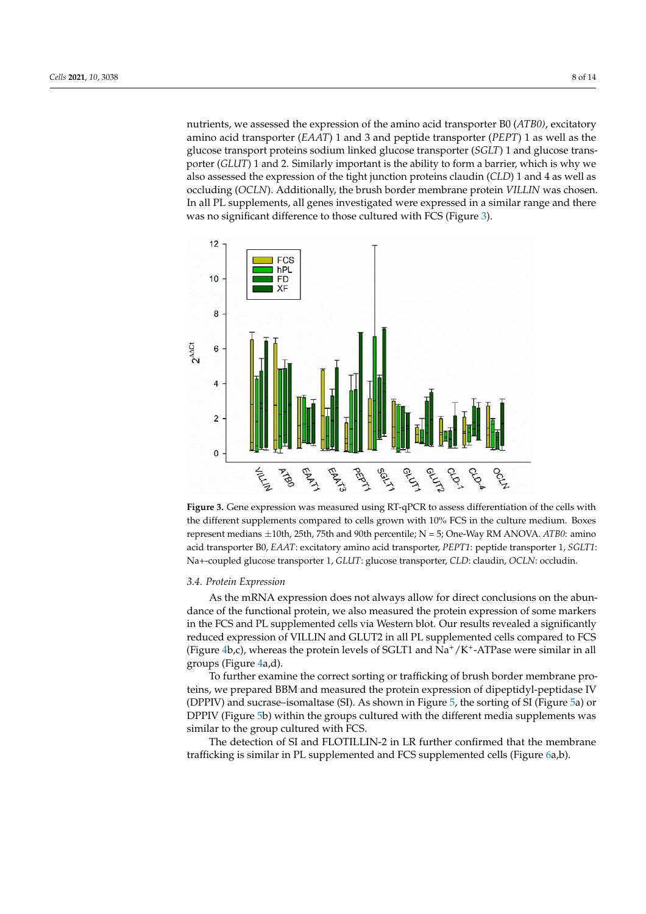nutrients, we assessed the expression of the amino acid transporter B0 (*ATB0)*, excitatory amino acid transporter (*EAAT*) 1 and 3 and peptide transporter (*PEPT*) 1 as well as the glucose transport proteins sodium linked glucose transporter (*SGLT*) 1 and glucose transporter (*GLUT*) 1 and 2. Similarly important is the ability to form a barrier, which is why we also assessed the expression of the tight junction proteins claudin (*CLD*) 1 and 4 as well as occluding (*OCLN*). Additionally, the brush border membrane protein *VILLIN* was chosen. In all PL supplements, all genes investigated were expressed in a similar range and there was no significant difference to those cultured with FCS (Figure 3).





#### *3.4. Protein Expression*

As the mRNA expression does not always allow for direct conclusions on the abundance of the functional protein, we also measured the protein expression of some markers in the FCS and PL supplemented cells via Western blot. Our results revealed a significantly reduced expression of VILLIN and GLUT2 in all PL supplemented cells compared to FCS (Figure 4b,c), whereas the protein levels of SGLT1 and  $\mathrm{Na^+}/\mathrm{K^+}\text{-ATP}$ ase were similar in all groups (Figure 4a,d).

To further examine the correct sorting or trafficking of brush border membrane proteins, we prepared BBM and measured the protein expression of dipeptidyl-peptidase IV (DPPIV) and sucrase–isomaltase (SI). As shown in Figure 5, the sorting of SI (Figure 5a) or DPPIV (Figure 5b) within the groups cultured with the different media supplements was similar to the group cultured with FCS.

The detection of SI and FLOTILLIN-2 in LR further confirmed that the membrane trafficking is similar in PL supplemented and FCS supplemented cells (Figure 6a,b).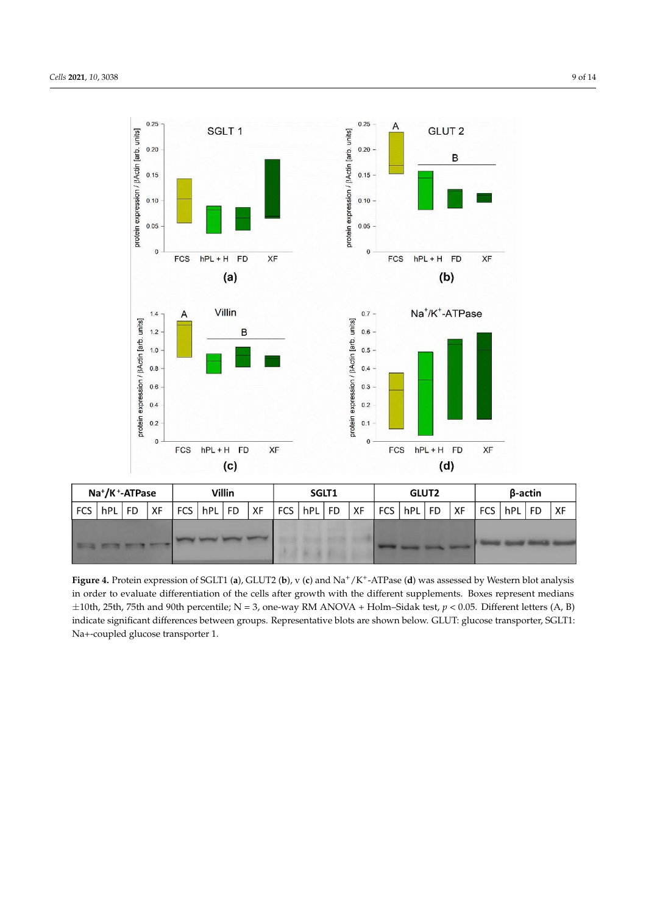

| Na <sup>+</sup> /K <sup>+</sup> -ATPase |                      |  | Villin |  |                | SGLT1 |      |  | <b>GLUT2</b>   |  |    | β-actin |                |  |    |       |          |  |      |
|-----------------------------------------|----------------------|--|--------|--|----------------|-------|------|--|----------------|--|----|---------|----------------|--|----|-------|----------|--|------|
|                                         | $FCS$   $hPL$   $FD$ |  | XF     |  | FCS   hPL   FD |       | ∣ XF |  | FCS   hPL   FD |  | XF |         | FCS   hPL   FD |  | XF | $FCS$ | hPL   FD |  | ، XF |
|                                         |                      |  |        |  |                |       |      |  |                |  |    |         |                |  |    |       |          |  |      |

**Figure 4.** Protein expression of SGLT1 (**a**), GLUT2 (**b**), v (**c**) and Na+/K+-ATPase (**d**) was assessed by Western blot analysis in order to evaluate differentiation of the cells after growth with the different supplements. Boxes represent medians *±*10th, 25th, 75th and 90th percentile; N = 3, one-way RM ANOVA + Holm–Sidak test, *p* < 0.05. Different letters (A, B) indicate significant differences between groups. Representative blots are shown below. GLUT: glucose transporter, SGLT1: Na+-coupled glucose transporter 1.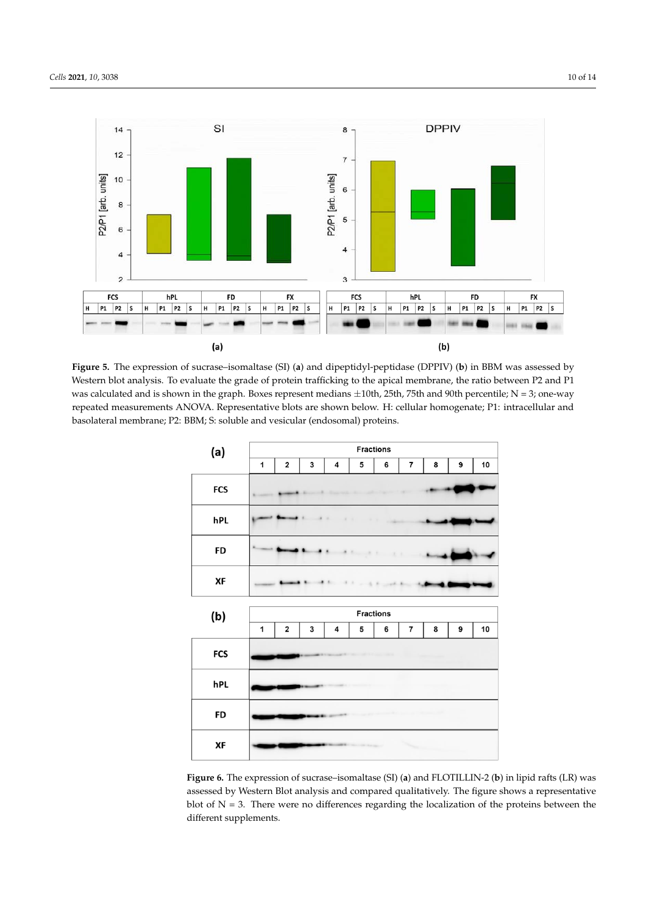

**Figure 5.** The expression of sucrase–isomaltase (SI) (**a**) and dipeptidyl-peptidase (DPPIV) (**b**) in BBM was assessed by Western blot analysis. To evaluate the grade of protein trafficking to the apical membrane, the ratio between P2 and P1 was calculated and is shown in the graph. Boxes represent medians  $\pm 10$ th, 25th, 75th and 90th percentile; N = 3; one-way repeated measurements ANOVA. Representative blots are shown below. H: cellular homogenate; P1: intracellular and basolateral membrane; P2: BBM; S: soluble and vesicular (endosomal) proteins.



**Figure 6.** The expression of sucrase–isomaltase (SI) (**a**) and FLOTILLIN-2 (**b**) in lipid rafts (LR) was assessed by Western Blot analysis and compared qualitatively. The figure shows a representative blot of  $N = 3$ . There were no differences regarding the localization of the proteins between the different supplements.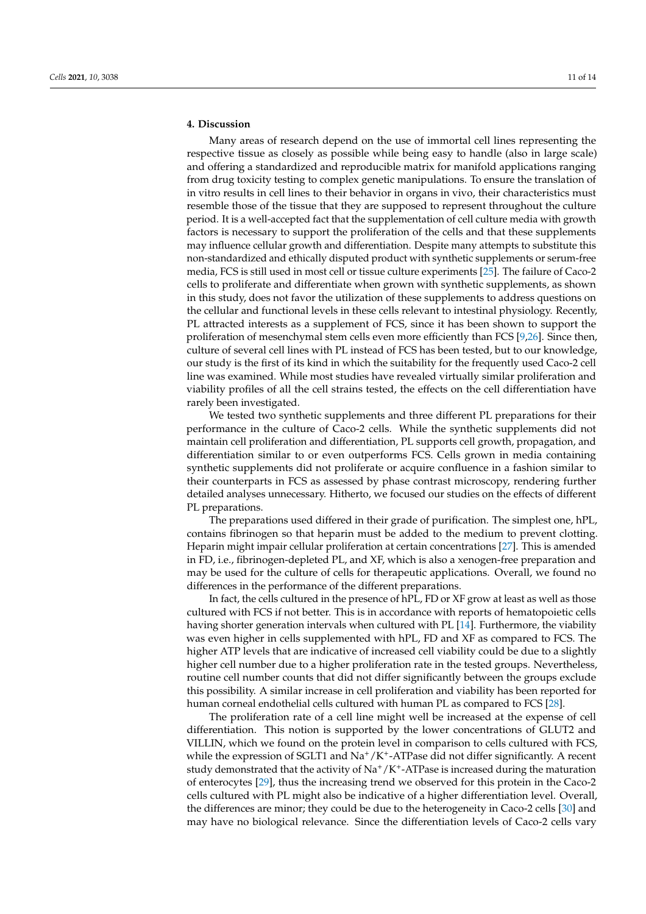# **4. Discussion**

Many areas of research depend on the use of immortal cell lines representing the respective tissue as closely as possible while being easy to handle (also in large scale) and offering a standardized and reproducible matrix for manifold applications ranging from drug toxicity testing to complex genetic manipulations. To ensure the translation of in vitro results in cell lines to their behavior in organs in vivo, their characteristics must resemble those of the tissue that they are supposed to represent throughout the culture period. It is a well-accepted fact that the supplementation of cell culture media with growth factors is necessary to support the proliferation of the cells and that these supplements may influence cellular growth and differentiation. Despite many attempts to substitute this non-standardized and ethically disputed product with synthetic supplements or serum-free media, FCS is still used in most cell or tissue culture experiments [25]. The failure of Caco-2 cells to proliferate and differentiate when grown with synthetic supplements, as shown in this study, does not favor the utilization of these supplements to address questions on the cellular and functional levels in these cells relevant to intestinal physiology. Recently, PL attracted interests as a supplement of FCS, since it has been shown to support the proliferation of mesenchymal stem cells even more efficiently than FCS [9,26]. Since then, culture of several cell lines with PL instead of FCS has been tested, but to our knowledge, our study is the first of its kind in which the suitability for the frequently used Caco-2 cell line was examined. While most studies have revealed virtually similar proliferation and viability profiles of all the cell strains tested, the effects on the cell differentiation have rarely been investigated.

We tested two synthetic supplements and three different PL preparations for their performance in the culture of Caco-2 cells. While the synthetic supplements did not maintain cell proliferation and differentiation, PL supports cell growth, propagation, and differentiation similar to or even outperforms FCS. Cells grown in media containing synthetic supplements did not proliferate or acquire confluence in a fashion similar to their counterparts in FCS as assessed by phase contrast microscopy, rendering further detailed analyses unnecessary. Hitherto, we focused our studies on the effects of different PL preparations.

The preparations used differed in their grade of purification. The simplest one, hPL, contains fibrinogen so that heparin must be added to the medium to prevent clotting. Heparin might impair cellular proliferation at certain concentrations [27]. This is amended in FD, i.e., fibrinogen-depleted PL, and XF, which is also a xenogen-free preparation and may be used for the culture of cells for therapeutic applications. Overall, we found no differences in the performance of the different preparations.

In fact, the cells cultured in the presence of hPL, FD or XF grow at least as well as those cultured with FCS if not better. This is in accordance with reports of hematopoietic cells having shorter generation intervals when cultured with PL [14]. Furthermore, the viability was even higher in cells supplemented with hPL, FD and XF as compared to FCS. The higher ATP levels that are indicative of increased cell viability could be due to a slightly higher cell number due to a higher proliferation rate in the tested groups. Nevertheless, routine cell number counts that did not differ significantly between the groups exclude this possibility. A similar increase in cell proliferation and viability has been reported for human corneal endothelial cells cultured with human PL as compared to FCS [28].

The proliferation rate of a cell line might well be increased at the expense of cell differentiation. This notion is supported by the lower concentrations of GLUT2 and VILLIN, which we found on the protein level in comparison to cells cultured with FCS, while the expression of SGLT1 and  $\mathrm{Na^+}/\mathrm{K^+}$ -ATPase did not differ significantly. A recent study demonstrated that the activity of  $Na^+/K^+$ -ATPase is increased during the maturation of enterocytes [29], thus the increasing trend we observed for this protein in the Caco-2 cells cultured with PL might also be indicative of a higher differentiation level. Overall, the differences are minor; they could be due to the heterogeneity in Caco-2 cells [30] and may have no biological relevance. Since the differentiation levels of Caco-2 cells vary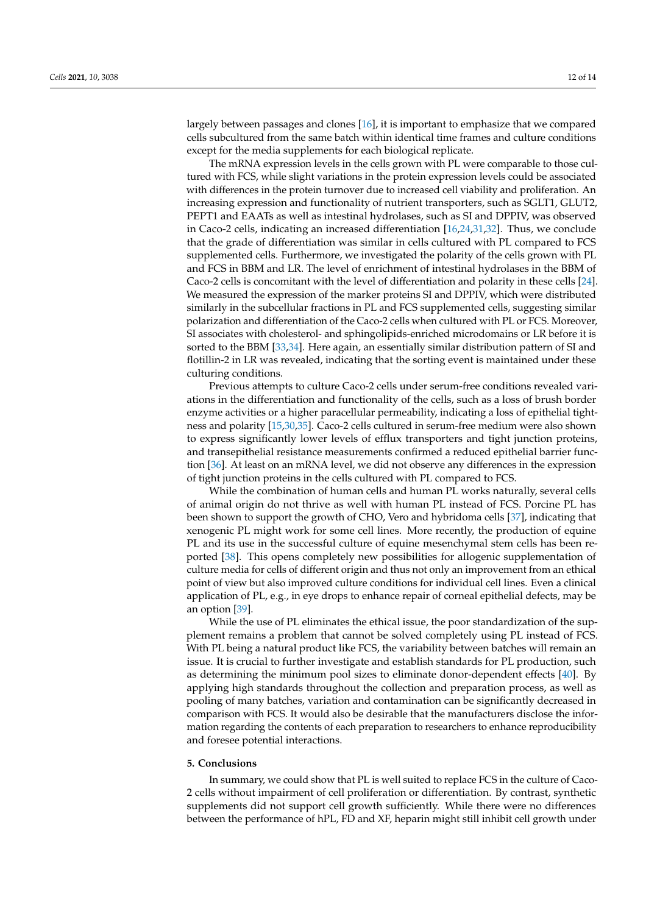largely between passages and clones [16], it is important to emphasize that we compared cells subcultured from the same batch within identical time frames and culture conditions except for the media supplements for each biological replicate.

The mRNA expression levels in the cells grown with PL were comparable to those cultured with FCS, while slight variations in the protein expression levels could be associated with differences in the protein turnover due to increased cell viability and proliferation. An increasing expression and functionality of nutrient transporters, such as SGLT1, GLUT2, PEPT1 and EAATs as well as intestinal hydrolases, such as SI and DPPIV, was observed in Caco-2 cells, indicating an increased differentiation [16,24,31,32]. Thus, we conclude that the grade of differentiation was similar in cells cultured with PL compared to FCS supplemented cells. Furthermore, we investigated the polarity of the cells grown with PL and FCS in BBM and LR. The level of enrichment of intestinal hydrolases in the BBM of Caco-2 cells is concomitant with the level of differentiation and polarity in these cells [24]. We measured the expression of the marker proteins SI and DPPIV, which were distributed similarly in the subcellular fractions in PL and FCS supplemented cells, suggesting similar polarization and differentiation of the Caco-2 cells when cultured with PL or FCS. Moreover, SI associates with cholesterol- and sphingolipids-enriched microdomains or LR before it is sorted to the BBM [33,34]. Here again, an essentially similar distribution pattern of SI and flotillin-2 in LR was revealed, indicating that the sorting event is maintained under these culturing conditions.

Previous attempts to culture Caco-2 cells under serum-free conditions revealed variations in the differentiation and functionality of the cells, such as a loss of brush border enzyme activities or a higher paracellular permeability, indicating a loss of epithelial tightness and polarity [15,30,35]. Caco-2 cells cultured in serum-free medium were also shown to express significantly lower levels of efflux transporters and tight junction proteins, and transepithelial resistance measurements confirmed a reduced epithelial barrier function [36]. At least on an mRNA level, we did not observe any differences in the expression of tight junction proteins in the cells cultured with PL compared to FCS.

While the combination of human cells and human PL works naturally, several cells of animal origin do not thrive as well with human PL instead of FCS. Porcine PL has been shown to support the growth of CHO, Vero and hybridoma cells [37], indicating that xenogenic PL might work for some cell lines. More recently, the production of equine PL and its use in the successful culture of equine mesenchymal stem cells has been reported [38]. This opens completely new possibilities for allogenic supplementation of culture media for cells of different origin and thus not only an improvement from an ethical point of view but also improved culture conditions for individual cell lines. Even a clinical application of PL, e.g., in eye drops to enhance repair of corneal epithelial defects, may be an option [39].

While the use of PL eliminates the ethical issue, the poor standardization of the supplement remains a problem that cannot be solved completely using PL instead of FCS. With PL being a natural product like FCS, the variability between batches will remain an issue. It is crucial to further investigate and establish standards for PL production, such as determining the minimum pool sizes to eliminate donor-dependent effects [40]. By applying high standards throughout the collection and preparation process, as well as pooling of many batches, variation and contamination can be significantly decreased in comparison with FCS. It would also be desirable that the manufacturers disclose the information regarding the contents of each preparation to researchers to enhance reproducibility and foresee potential interactions.

#### **5. Conclusions**

In summary, we could show that PL is well suited to replace FCS in the culture of Caco-2 cells without impairment of cell proliferation or differentiation. By contrast, synthetic supplements did not support cell growth sufficiently. While there were no differences between the performance of hPL, FD and XF, heparin might still inhibit cell growth under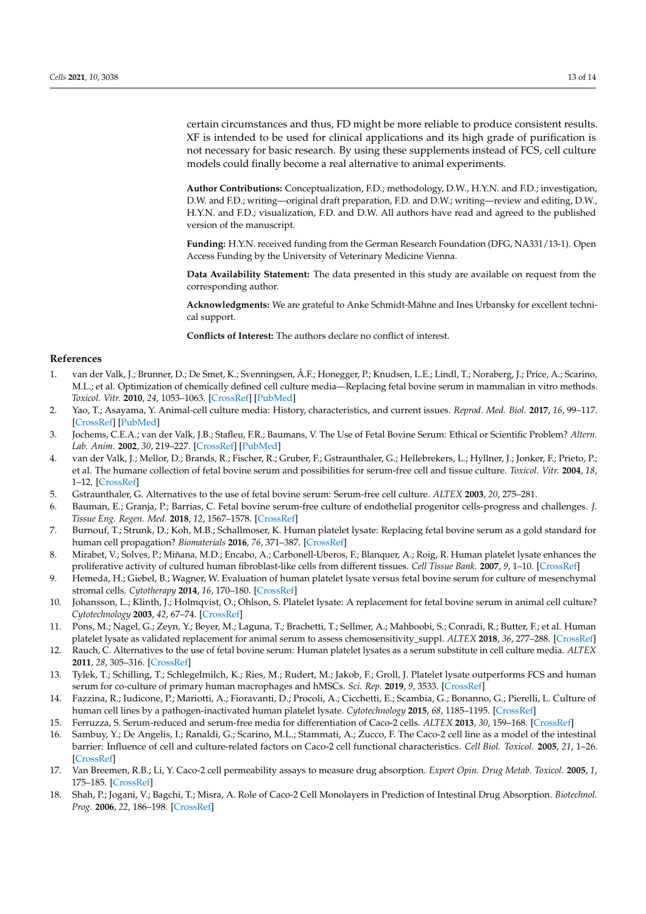certain circumstances and thus, FD might be more reliable to produce consistent results. XF is intended to be used for clinical applications and its high grade of purification is not necessary for basic research. By using these supplements instead of FCS, cell culture models could finally become a real alternative to animal experiments.

**Author Contributions:** Conceptualization, F.D.; methodology, D.W., H.Y.N. and F.D.; investigation, D.W. and F.D.; writing—original draft preparation, F.D. and D.W.; writing—review and editing, D.W., H.Y.N. and F.D.; visualization, F.D. and D.W. All authors have read and agreed to the published version of the manuscript.

**Funding:** H.Y.N. received funding from the German Research Foundation (DFG, NA331/13-1). Open Access Funding by the University of Veterinary Medicine Vienna.

**Data Availability Statement:** The data presented in this study are available on request from the corresponding author.

**Acknowledgments:** We are grateful to Anke Schmidt-Mähne and Ines Urbansky for excellent technical support.

**Conflicts of Interest:** The authors declare no conflict of interest.

#### **References**

- 1. van der Valk, J.; Brunner, D.; De Smet, K.; Svenningsen, Å.F.; Honegger, P.; Knudsen, L.E.; Lindl, T.; Noraberg, J.; Price, A.; Scarino, M.L.; et al. Optimization of chemically defined cell culture media—Replacing fetal bovine serum in mammalian in vitro methods. *Toxicol. Vitr.* **2010**, *24*, 1053–1063. [CrossRef] [PubMed]
- 2. Yao, T.; Asayama, Y. Animal-cell culture media: History, characteristics, and current issues. *Reprod. Med. Biol.* **2017**, *16*, 99–117. [CrossRef] [PubMed]
- 3. Jochems, C.E.A.; van der Valk, J.B.; Stafleu, F.R.; Baumans, V. The Use of Fetal Bovine Serum: Ethical or Scientific Problem? *Altern. Lab. Anim.* **2002**, *30*, 219–227. [CrossRef] [PubMed]
- 4. van der Valk, J.; Mellor, D.; Brands, R.; Fischer, R.; Gruber, F.; Gstraunthaler, G.; Hellebrekers, L.; Hyllner, J.; Jonker, F.; Prieto, P.; et al. The humane collection of fetal bovine serum and possibilities for serum-free cell and tissue culture. *Toxicol. Vitr.* **2004**, *18*, 1–12. [CrossRef]
- 5. Gstraunthaler, G. Alternatives to the use of fetal bovine serum: Serum-free cell culture. *ALTEX* **2003**, *20*, 275–281.
- 6. Bauman, E.; Granja, P.; Barrias, C. Fetal bovine serum-free culture of endothelial progenitor cells-progress and challenges. *J. Tissue Eng. Regen. Med.* **2018**, *12*, 1567–1578. [CrossRef]
- 7. Burnouf, T.; Strunk, D.; Koh, M.B.; Schallmoser, K. Human platelet lysate: Replacing fetal bovine serum as a gold standard for human cell propagation? *Biomaterials* **2016**, *76*, 371–387. [CrossRef]
- 8. Mirabet, V.; Solves, P.; Miñana, M.D.; Encabo, A.; Carbonell-Uberos, F.; Blanquer, A.; Roig, R. Human platelet lysate enhances the proliferative activity of cultured human fibroblast-like cells from different tissues. *Cell Tissue Bank.* **2007**, *9*, 1–10. [CrossRef]
- 9. Hemeda, H.; Giebel, B.; Wagner, W. Evaluation of human platelet lysate versus fetal bovine serum for culture of mesenchymal stromal cells. *Cytotherapy* **2014**, *16*, 170–180. [CrossRef]
- 10. Johansson, L.; Klinth, J.; Holmqvist, O.; Ohlson, S. Platelet lysate: A replacement for fetal bovine serum in animal cell culture? *Cytotechnology* **2003**, *42*, 67–74. [CrossRef]
- 11. Pons, M.; Nagel, G.; Zeyn, Y.; Beyer, M.; Laguna, T.; Brachetti, T.; Sellmer, A.; Mahboobi, S.; Conradi, R.; Butter, F.; et al. Human platelet lysate as validated replacement for animal serum to assess chemosensitivity\_suppl. *ALTEX* **2018**, *36*, 277–288. [CrossRef]
- 12. Rauch, C. Alternatives to the use of fetal bovine serum: Human platelet lysates as a serum substitute in cell culture media. *ALTEX* **2011**, *28*, 305–316. [CrossRef]
- 13. Tylek, T.; Schilling, T.; Schlegelmilch, K.; Ries, M.; Rudert, M.; Jakob, F.; Groll, J. Platelet lysate outperforms FCS and human serum for co-culture of primary human macrophages and hMSCs. *Sci. Rep.* **2019**, *9*, 3533. [CrossRef]
- 14. Fazzina, R.; Iudicone, P.; Mariotti, A.; Fioravanti, D.; Procoli, A.; Cicchetti, E.; Scambia, G.; Bonanno, G.; Pierelli, L. Culture of human cell lines by a pathogen-inactivated human platelet lysate. *Cytotechnology* **2015**, *68*, 1185–1195. [CrossRef]
- 15. Ferruzza, S. Serum-reduced and serum-free media for differentiation of Caco-2 cells. *ALTEX* **2013**, *30*, 159–168. [CrossRef]
- 16. Sambuy, Y.; De Angelis, I.; Ranaldi, G.; Scarino, M.L.; Stammati, A.; Zucco, F. The Caco-2 cell line as a model of the intestinal barrier: Influence of cell and culture-related factors on Caco-2 cell functional characteristics. *Cell Biol. Toxicol.* **2005**, *21*, 1–26. [CrossRef]
- 17. Van Breemen, R.B.; Li, Y. Caco-2 cell permeability assays to measure drug absorption. *Expert Opin. Drug Metab. Toxicol.* **2005**, *1*, 175–185. [CrossRef]
- 18. Shah, P.; Jogani, V.; Bagchi, T.; Misra, A. Role of Caco-2 Cell Monolayers in Prediction of Intestinal Drug Absorption. *Biotechnol. Prog.* **2006**, *22*, 186–198. [CrossRef]